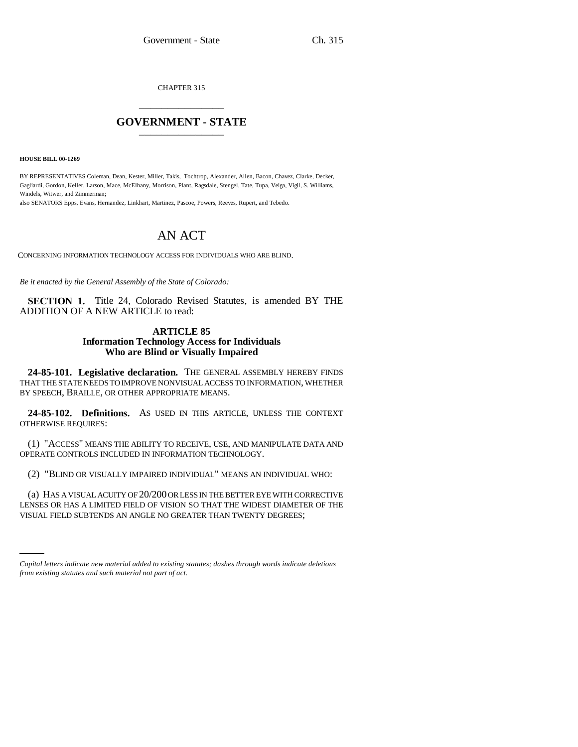CHAPTER 315 \_\_\_\_\_\_\_\_\_\_\_\_\_\_\_

## **GOVERNMENT - STATE** \_\_\_\_\_\_\_\_\_\_\_\_\_\_\_

**HOUSE BILL 00-1269** 

BY REPRESENTATIVES Coleman, Dean, Kester, Miller, Takis, Tochtrop, Alexander, Allen, Bacon, Chavez, Clarke, Decker, Gagliardi, Gordon, Keller, Larson, Mace, McElhany, Morrison, Plant, Ragsdale, Stengel, Tate, Tupa, Veiga, Vigil, S. Williams, Windels, Witwer, and Zimmerman;

also SENATORS Epps, Evans, Hernandez, Linkhart, Martinez, Pascoe, Powers, Reeves, Rupert, and Tebedo.

## AN ACT

CONCERNING INFORMATION TECHNOLOGY ACCESS FOR INDIVIDUALS WHO ARE BLIND.

*Be it enacted by the General Assembly of the State of Colorado:*

**SECTION 1.** Title 24, Colorado Revised Statutes, is amended BY THE ADDITION OF A NEW ARTICLE to read:

## **ARTICLE 85 Information Technology Access for Individuals Who are Blind or Visually Impaired**

**24-85-101. Legislative declaration.** THE GENERAL ASSEMBLY HEREBY FINDS THAT THE STATE NEEDS TO IMPROVE NONVISUAL ACCESS TO INFORMATION, WHETHER BY SPEECH, BRAILLE, OR OTHER APPROPRIATE MEANS.

**24-85-102. Definitions.** AS USED IN THIS ARTICLE, UNLESS THE CONTEXT OTHERWISE REQUIRES:

(1) "ACCESS" MEANS THE ABILITY TO RECEIVE, USE, AND MANIPULATE DATA AND OPERATE CONTROLS INCLUDED IN INFORMATION TECHNOLOGY.

(2) "BLIND OR VISUALLY IMPAIRED INDIVIDUAL" MEANS AN INDIVIDUAL WHO:

LENSES OR HAS A LIMITED FIELD OF VISION SO THAT THE WIDEST DIAMETER OF THE (a) HAS A VISUAL ACUITY OF 20/200 OR LESS IN THE BETTER EYE WITH CORRECTIVE VISUAL FIELD SUBTENDS AN ANGLE NO GREATER THAN TWENTY DEGREES;

*Capital letters indicate new material added to existing statutes; dashes through words indicate deletions from existing statutes and such material not part of act.*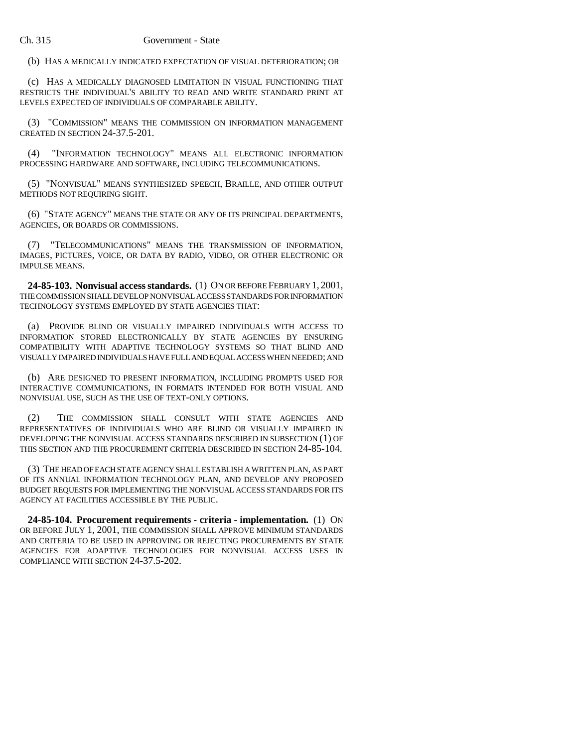(b) HAS A MEDICALLY INDICATED EXPECTATION OF VISUAL DETERIORATION; OR

(c) HAS A MEDICALLY DIAGNOSED LIMITATION IN VISUAL FUNCTIONING THAT RESTRICTS THE INDIVIDUAL'S ABILITY TO READ AND WRITE STANDARD PRINT AT LEVELS EXPECTED OF INDIVIDUALS OF COMPARABLE ABILITY.

(3) "COMMISSION" MEANS THE COMMISSION ON INFORMATION MANAGEMENT CREATED IN SECTION 24-37.5-201.

(4) "INFORMATION TECHNOLOGY" MEANS ALL ELECTRONIC INFORMATION PROCESSING HARDWARE AND SOFTWARE, INCLUDING TELECOMMUNICATIONS.

(5) "NONVISUAL" MEANS SYNTHESIZED SPEECH, BRAILLE, AND OTHER OUTPUT METHODS NOT REQUIRING SIGHT.

(6) "STATE AGENCY" MEANS THE STATE OR ANY OF ITS PRINCIPAL DEPARTMENTS, AGENCIES, OR BOARDS OR COMMISSIONS.

(7) "TELECOMMUNICATIONS" MEANS THE TRANSMISSION OF INFORMATION, IMAGES, PICTURES, VOICE, OR DATA BY RADIO, VIDEO, OR OTHER ELECTRONIC OR IMPULSE MEANS.

**24-85-103. Nonvisual access standards.** (1) ON OR BEFORE FEBRUARY 1, 2001, THE COMMISSION SHALL DEVELOP NONVISUAL ACCESS STANDARDS FOR INFORMATION TECHNOLOGY SYSTEMS EMPLOYED BY STATE AGENCIES THAT:

(a) PROVIDE BLIND OR VISUALLY IMPAIRED INDIVIDUALS WITH ACCESS TO INFORMATION STORED ELECTRONICALLY BY STATE AGENCIES BY ENSURING COMPATIBILITY WITH ADAPTIVE TECHNOLOGY SYSTEMS SO THAT BLIND AND VISUALLY IMPAIRED INDIVIDUALS HAVE FULL AND EQUAL ACCESS WHEN NEEDED; AND

(b) ARE DESIGNED TO PRESENT INFORMATION, INCLUDING PROMPTS USED FOR INTERACTIVE COMMUNICATIONS, IN FORMATS INTENDED FOR BOTH VISUAL AND NONVISUAL USE, SUCH AS THE USE OF TEXT-ONLY OPTIONS.

(2) THE COMMISSION SHALL CONSULT WITH STATE AGENCIES AND REPRESENTATIVES OF INDIVIDUALS WHO ARE BLIND OR VISUALLY IMPAIRED IN DEVELOPING THE NONVISUAL ACCESS STANDARDS DESCRIBED IN SUBSECTION (1) OF THIS SECTION AND THE PROCUREMENT CRITERIA DESCRIBED IN SECTION 24-85-104.

(3) THE HEAD OF EACH STATE AGENCY SHALL ESTABLISH A WRITTEN PLAN, AS PART OF ITS ANNUAL INFORMATION TECHNOLOGY PLAN, AND DEVELOP ANY PROPOSED BUDGET REQUESTS FOR IMPLEMENTING THE NONVISUAL ACCESS STANDARDS FOR ITS AGENCY AT FACILITIES ACCESSIBLE BY THE PUBLIC.

**24-85-104. Procurement requirements - criteria - implementation.** (1) ON OR BEFORE JULY 1, 2001, THE COMMISSION SHALL APPROVE MINIMUM STANDARDS AND CRITERIA TO BE USED IN APPROVING OR REJECTING PROCUREMENTS BY STATE AGENCIES FOR ADAPTIVE TECHNOLOGIES FOR NONVISUAL ACCESS USES IN COMPLIANCE WITH SECTION 24-37.5-202.